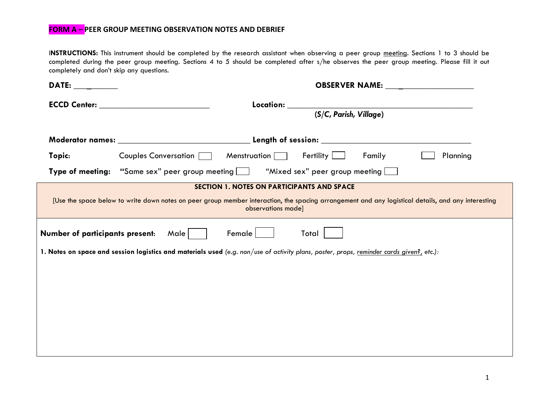I**NSTRUCTIONS:** This instrument should be completed by the research assistant when observing a peer group meeting. Sections 1 to 3 should be completed during the peer group meeting. Sections 4 to 5 should be completed after s/he observes the peer group meeting. Please fill it out completely and don't skip any questions.

| DATE: the contract of the contract of the contract of the contract of the contract of the contract of the contract of the contract of the contract of the contract of the contract of the contract of the contract of the cont | <b>OBSERVER NAME:</b> NAMER STATES                                                                                                                                                                                             |  |  |  |
|--------------------------------------------------------------------------------------------------------------------------------------------------------------------------------------------------------------------------------|--------------------------------------------------------------------------------------------------------------------------------------------------------------------------------------------------------------------------------|--|--|--|
|                                                                                                                                                                                                                                | ECCD Center: Network and the state of the state of the state of the state of the state of the state of the state of the state of the state of the state of the state of the state of the state of the state of the state of th |  |  |  |
|                                                                                                                                                                                                                                | (S/C, Parish, Village)                                                                                                                                                                                                         |  |  |  |
|                                                                                                                                                                                                                                |                                                                                                                                                                                                                                |  |  |  |
| Topic:                                                                                                                                                                                                                         | Fertility $\Box$<br>Couples Conversation [144]<br>Menstruation $\Box$<br>Family<br>Planning                                                                                                                                    |  |  |  |
|                                                                                                                                                                                                                                | <b>Type of meeting:</b> "Same sex" peer group meeting <b>Fig.</b> "Mixed sex" peer group meeting                                                                                                                               |  |  |  |
|                                                                                                                                                                                                                                | SECTION 1. NOTES ON PARTICIPANTS AND SPACE                                                                                                                                                                                     |  |  |  |
| [Use the space below to write down notes on peer group member interaction, the spacing arrangement and any logistical details, and any interesting<br>observations made]                                                       |                                                                                                                                                                                                                                |  |  |  |
| <b>Number of participants present:</b><br>Female<br>Male  <br>Total                                                                                                                                                            |                                                                                                                                                                                                                                |  |  |  |
| 1. Notes on space and session logistics and materials used (e.g. non/use of activity plans, poster, props, reminder cards given?, etc.):                                                                                       |                                                                                                                                                                                                                                |  |  |  |
|                                                                                                                                                                                                                                |                                                                                                                                                                                                                                |  |  |  |
|                                                                                                                                                                                                                                |                                                                                                                                                                                                                                |  |  |  |
|                                                                                                                                                                                                                                |                                                                                                                                                                                                                                |  |  |  |
|                                                                                                                                                                                                                                |                                                                                                                                                                                                                                |  |  |  |
|                                                                                                                                                                                                                                |                                                                                                                                                                                                                                |  |  |  |
|                                                                                                                                                                                                                                |                                                                                                                                                                                                                                |  |  |  |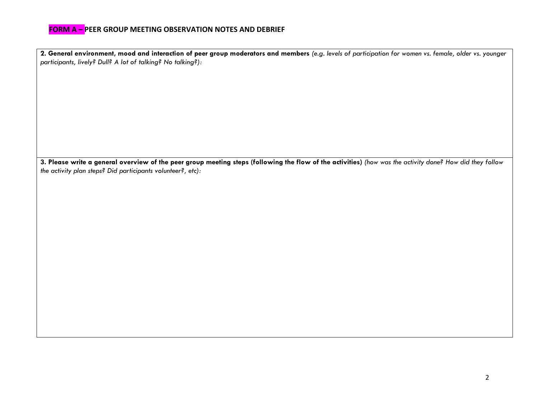**2. General environment, mood and interaction of peer group moderators and members** *(e.g. levels of participation for women vs. female, older vs. younger participants, lively? Dull? A lot of talking? No talking?):*

**3. Please write a general overview of the peer group meeting steps (following the flow of the activities)** *(how was the activity done? How did they follow the activity plan steps? Did participants volunteer?, etc):*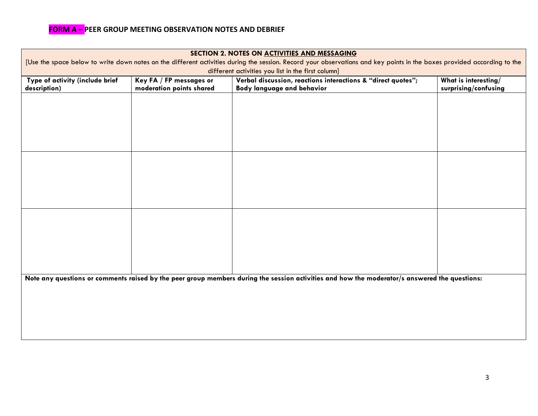| SECTION 2. NOTES ON ACTIVITIES AND MESSAGING<br>[Use the space below to write down notes on the different activities during the session. Record your observations and key points in the boxes provided according to the<br>different activities you list in the first column] |  |  |  |  |  |
|-------------------------------------------------------------------------------------------------------------------------------------------------------------------------------------------------------------------------------------------------------------------------------|--|--|--|--|--|
|                                                                                                                                                                                                                                                                               |  |  |  |  |  |
|                                                                                                                                                                                                                                                                               |  |  |  |  |  |
|                                                                                                                                                                                                                                                                               |  |  |  |  |  |
|                                                                                                                                                                                                                                                                               |  |  |  |  |  |
|                                                                                                                                                                                                                                                                               |  |  |  |  |  |
|                                                                                                                                                                                                                                                                               |  |  |  |  |  |
|                                                                                                                                                                                                                                                                               |  |  |  |  |  |
|                                                                                                                                                                                                                                                                               |  |  |  |  |  |
|                                                                                                                                                                                                                                                                               |  |  |  |  |  |
|                                                                                                                                                                                                                                                                               |  |  |  |  |  |
|                                                                                                                                                                                                                                                                               |  |  |  |  |  |
|                                                                                                                                                                                                                                                                               |  |  |  |  |  |
|                                                                                                                                                                                                                                                                               |  |  |  |  |  |
| Note any questions or comments raised by the peer group members during the session activities and how the moderator/s answered the questions:                                                                                                                                 |  |  |  |  |  |
|                                                                                                                                                                                                                                                                               |  |  |  |  |  |
|                                                                                                                                                                                                                                                                               |  |  |  |  |  |
|                                                                                                                                                                                                                                                                               |  |  |  |  |  |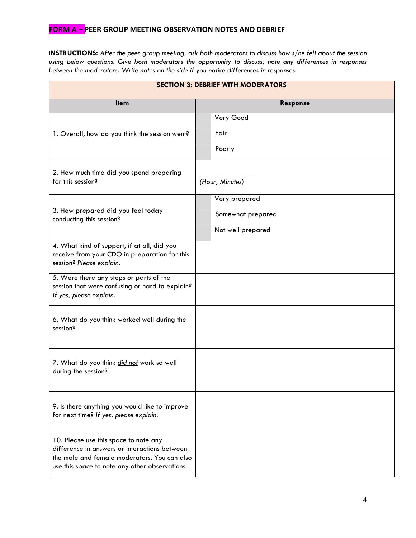I**NSTRUCTIONS:** *After the peer group meeting, ask both moderators to discuss how s/he felt about the session using below questions. Give both moderators the opportunity to discuss; note any differences in responses between the moderators. Write notes on the side if you notice differences in responses.*

| <b>SECTION 3: DEBRIEF WITH MODERATORS</b>                                                                                                                                                |                                                         |  |  |  |
|------------------------------------------------------------------------------------------------------------------------------------------------------------------------------------------|---------------------------------------------------------|--|--|--|
| <b>Item</b>                                                                                                                                                                              | <b>Response</b>                                         |  |  |  |
| 1. Overall, how do you think the session went?                                                                                                                                           | Very Good<br>Fair<br>Poorly                             |  |  |  |
| 2. How much time did you spend preparing<br>for this session?                                                                                                                            | (Hour, Minutes)                                         |  |  |  |
| 3. How prepared did you feel today<br>conducting this session?                                                                                                                           | Very prepared<br>Somewhat prepared<br>Not well prepared |  |  |  |
| 4. What kind of support, if at all, did you<br>receive from your CDO in preparation for this<br>session? Please explain.                                                                 |                                                         |  |  |  |
| 5. Were there any steps or parts of the<br>session that were confusing or hard to explain?<br>If yes, please explain.                                                                    |                                                         |  |  |  |
| 6. What do you think worked well during the<br>session?                                                                                                                                  |                                                         |  |  |  |
| 7. What do you think did not work so well<br>during the session?                                                                                                                         |                                                         |  |  |  |
| 9. Is there anything you would like to improve<br>for next time? If yes, please explain.                                                                                                 |                                                         |  |  |  |
| 10. Please use this space to note any<br>difference in answers or interactions between<br>the male and female moderators. You can also<br>use this space to note any other observations. |                                                         |  |  |  |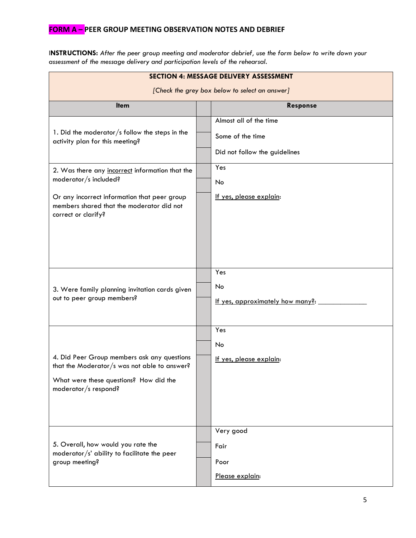I**NSTRUCTIONS:** *After the peer group meeting and moderator debrief, use the form below to write down your assessment of the message delivery and participation levels of the rehearsal.* 

| <b>SECTION 4: MESSAGE DELIVERY ASSESSMENT</b>                                                                                                                                                |  |                                                                             |  |  |
|----------------------------------------------------------------------------------------------------------------------------------------------------------------------------------------------|--|-----------------------------------------------------------------------------|--|--|
| [Check the grey box below to select an answer]                                                                                                                                               |  |                                                                             |  |  |
| <b>Item</b>                                                                                                                                                                                  |  | Response                                                                    |  |  |
| 1. Did the moderator/s follow the steps in the<br>activity plan for this meeting?                                                                                                            |  | Almost all of the time<br>Some of the time<br>Did not follow the guidelines |  |  |
| 2. Was there any incorrect information that the<br>moderator/s included?<br>Or any incorrect information that peer group<br>members shared that the moderator did not<br>correct or clarify? |  | Yes<br>No<br>If yes, please explain:                                        |  |  |
| 3. Were family planning invitation cards given<br>out to peer group members?                                                                                                                 |  | Yes<br>No<br>If yes, approximately how many?:                               |  |  |
| 4. Did Peer Group members ask any questions<br>that the Moderator/s was not able to answer?<br>What were these questions? How did the<br>moderator/s respond?                                |  | Yes<br>No<br>If yes, please explain:                                        |  |  |
| 5. Overall, how would you rate the<br>moderator/s' ability to facilitate the peer<br>group meeting?                                                                                          |  | Very good<br>Fair<br>Poor<br>Please explain:                                |  |  |